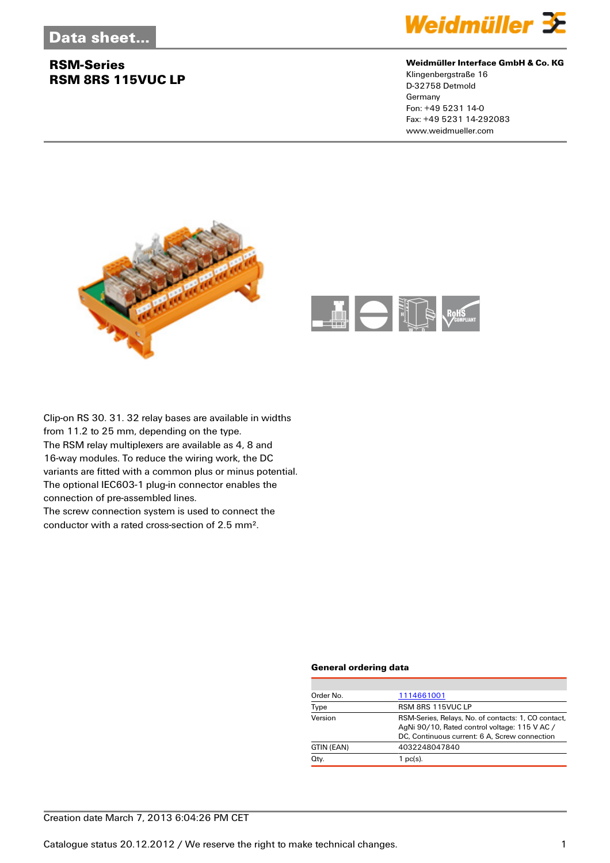## **RSM-Series RSM 8RS 115VUC LP**



#### **Weidmüller Interface GmbH & Co. KG**

Klingenbergstraße 16 D-32758 Detmold Germany Fon: +49 5231 14-0 Fax: +49 5231 14-292083 www.weidmueller.com





Clip-on RS 30. 31. 32 relay bases are available in widths from 11.2 to 25 mm, depending on the type. The RSM relay multiplexers are available as 4, 8 and 16-way modules. To reduce the wiring work, the DC variants are fitted with a common plus or minus potential. The optional IEC603-1 plug-in connector enables the connection of pre-assembled lines. The screw connection system is used to connect the

conductor with a rated cross-section of 2.5 mm².

## **General ordering data**

| Order No.  | 1114661001                                                                                                                                            |
|------------|-------------------------------------------------------------------------------------------------------------------------------------------------------|
| Type       | RSM 8RS 115VUC LP                                                                                                                                     |
| Version    | RSM-Series, Relays, No. of contacts: 1, CO contact,<br>AgNi 90/10, Rated control voltage: 115 V AC /<br>DC, Continuous current: 6 A, Screw connection |
| GTIN (EAN) | 4032248047840                                                                                                                                         |
| Qty.       | $1$ pc(s).                                                                                                                                            |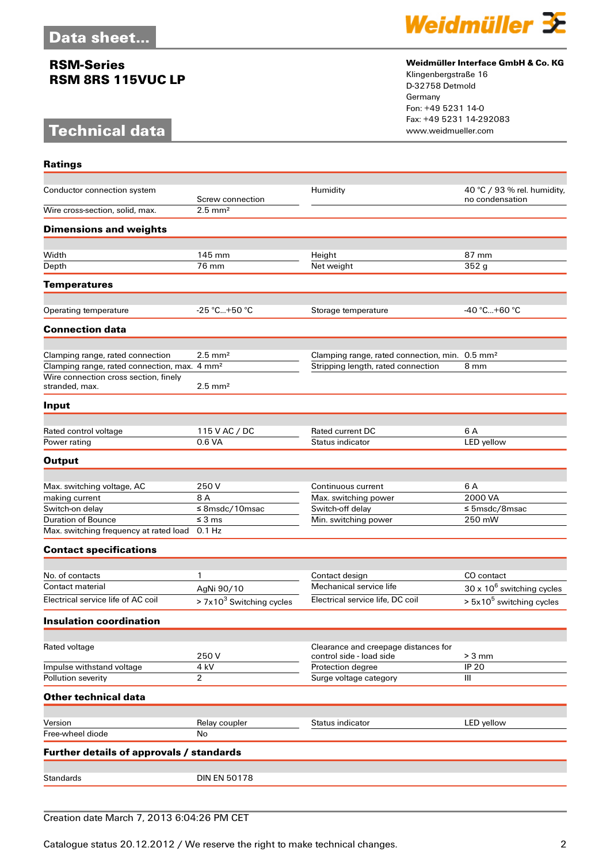## **RSM-Series RSM 8RS 115VUC LP**

# **Technical data**

**Ratings**



#### **Weidmüller Interface GmbH & Co. KG**

Klingenbergstraße 16 D-32758 Detmold Germany Fon: +49 5231 14-0 Fax: +49 5231 14-292083

| Conductor connection system                              | Screw connection           | Humidity                                                         | 40 °C / 93 % rel. humidity,<br>no condensation |
|----------------------------------------------------------|----------------------------|------------------------------------------------------------------|------------------------------------------------|
| Wire cross-section, solid, max.                          | $2.5 \text{ mm}^2$         |                                                                  |                                                |
| <b>Dimensions and weights</b>                            |                            |                                                                  |                                                |
| Width                                                    | 145 mm                     | Height                                                           | 87 mm                                          |
| Depth                                                    | 76 mm                      | Net weight                                                       | 352g                                           |
| <b>Temperatures</b>                                      |                            |                                                                  |                                                |
|                                                          |                            |                                                                  |                                                |
| Operating temperature                                    | $-25$ °C+50 °C             | Storage temperature                                              | $-40 °C+60 °C$                                 |
| <b>Connection data</b>                                   |                            |                                                                  |                                                |
| Clamping range, rated connection                         | $2.5$ mm <sup>2</sup>      | Clamping range, rated connection, min. 0.5 mm <sup>2</sup>       |                                                |
| Clamping range, rated connection, max. 4 mm <sup>2</sup> |                            | Stripping length, rated connection                               | 8 mm                                           |
| Wire connection cross section, finely                    |                            |                                                                  |                                                |
| stranded, max.                                           | $2.5$ mm <sup>2</sup>      |                                                                  |                                                |
| Input                                                    |                            |                                                                  |                                                |
| Rated control voltage                                    | 115 V AC / DC              | Rated current DC                                                 | 6 A                                            |
| Power rating                                             | 0.6 VA                     | Status indicator                                                 | LED yellow                                     |
| <b>Output</b>                                            |                            |                                                                  |                                                |
|                                                          |                            |                                                                  |                                                |
| Max. switching voltage, AC                               | 250 V                      | Continuous current                                               | 6 A                                            |
| making current                                           | 8 A                        | Max. switching power                                             | 2000 VA                                        |
| Switch-on delay                                          | $≤$ 8msdc/10msac           | Switch-off delay                                                 | $\leq$ 5msdc/8msac                             |
| <b>Duration of Bounce</b>                                | $\leq$ 3 ms                | Min. switching power                                             | 250 mW                                         |
| Max. switching frequency at rated load                   | $0.1$ Hz                   |                                                                  |                                                |
| <b>Contact specifications</b>                            |                            |                                                                  |                                                |
| No. of contacts                                          | 1                          | Contact design                                                   | CO contact                                     |
| Contact material                                         | AgNi 90/10                 | Mechanical service life                                          | $30 \times 10^6$ switching cycles              |
| Electrical service life of AC coil                       | $> 7x103$ Switching cycles | Electrical service life, DC coil                                 | $> 5x10^5$ switching cycles                    |
| <b>Insulation coordination</b>                           |                            |                                                                  |                                                |
|                                                          |                            |                                                                  |                                                |
| Rated voltage                                            | 250V                       | Clearance and creepage distances for<br>control side - load side | $> 3$ mm                                       |
| Impulse withstand voltage                                | 4 kV                       | Protection degree                                                | <b>IP 20</b>                                   |
| Pollution severity                                       | $\overline{2}$             | Surge voltage category                                           | Ш                                              |
| <b>Other technical data</b>                              |                            |                                                                  |                                                |
|                                                          |                            |                                                                  |                                                |
| Version                                                  | Relay coupler              | Status indicator                                                 | LED yellow                                     |
| Free-wheel diode                                         | No                         |                                                                  |                                                |
| Further details of approvals / standards                 |                            |                                                                  |                                                |
| <b>Standards</b>                                         | <b>DIN EN 50178</b>        |                                                                  |                                                |
|                                                          |                            |                                                                  |                                                |

Creation date March 7, 2013 6:04:26 PM CET